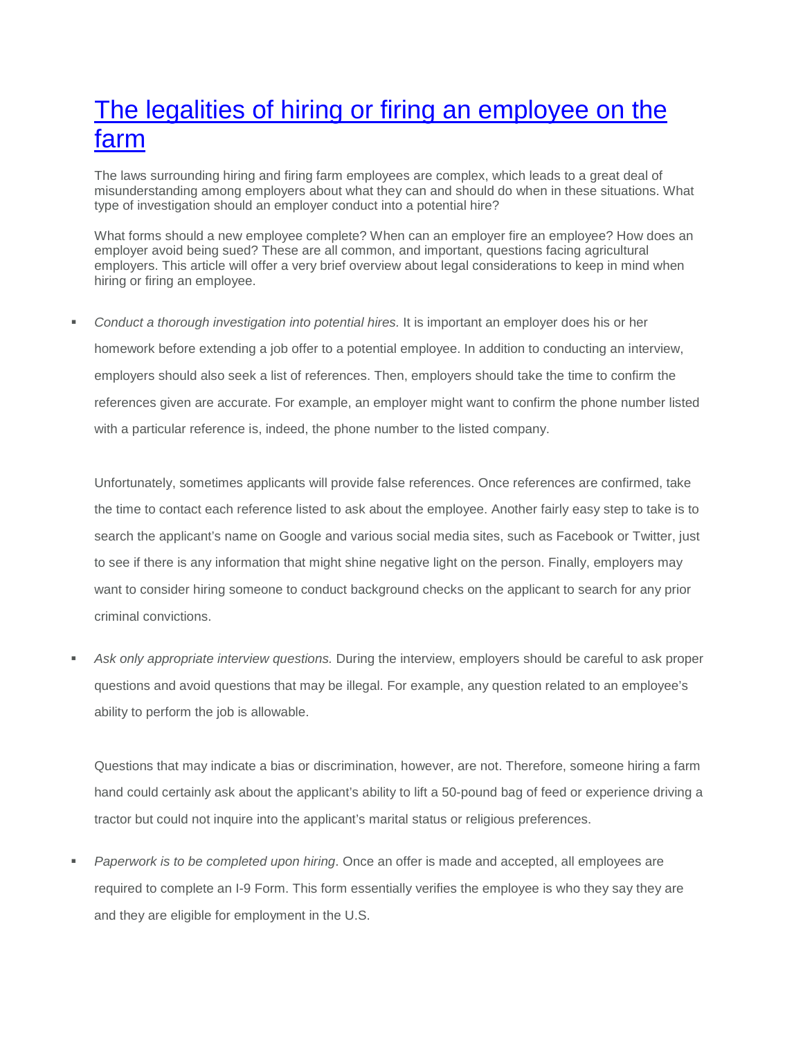## The legalities of hiring or firing an [employee](https://www.progressiveforage.com/forage-production/management/the-legalities-of-hiring-or-firing-an-employee-on-the-farm) on the [farm](https://www.progressiveforage.com/forage-production/management/the-legalities-of-hiring-or-firing-an-employee-on-the-farm)

The laws surrounding hiring and firing farm employees are complex, which leads to a great deal of misunderstanding among employers about what they can and should do when in these situations. What type of investigation should an employer conduct into a potential hire?

What forms should a new employee complete? When can an employer fire an employee? How does an employer avoid being sued? These are all common, and important, questions facing agricultural employers. This article will offer a very brief overview about legal considerations to keep in mind when hiring or firing an employee.

 *Conduct a thorough investigation into potential hires.* It is important an employer does his or her homework before extending a job offer to a potential employee. In addition to conducting an interview, employers should also seek a list of references. Then, employers should take the time to confirm the references given are accurate. For example, an employer might want to confirm the phone number listed with a particular reference is, indeed, the phone number to the listed company.

Unfortunately, sometimes applicants will provide false references. Once references are confirmed, take the time to contact each reference listed to ask about the employee. Another fairly easy step to take is to search the applicant's name on Google and various social media sites, such as Facebook or Twitter, just to see if there is any information that might shine negative light on the person. Finally, employers may want to consider hiring someone to conduct background checks on the applicant to search for any prior criminal convictions.

 *Ask only appropriate interview questions.* During the interview, employers should be careful to ask proper questions and avoid questions that may be illegal. For example, any question related to an employee's ability to perform the job is allowable.

Questions that may indicate a bias or discrimination, however, are not. Therefore, someone hiring a farm hand could certainly ask about the applicant's ability to lift a 50-pound bag of feed or experience driving a tractor but could not inquire into the applicant's marital status or religious preferences.

 *Paperwork is to be completed upon hiring*. Once an offer is made and accepted, all employees are required to complete an I-9 Form. This form essentially verifies the employee is who they say they are and they are eligible for employment in the U.S.